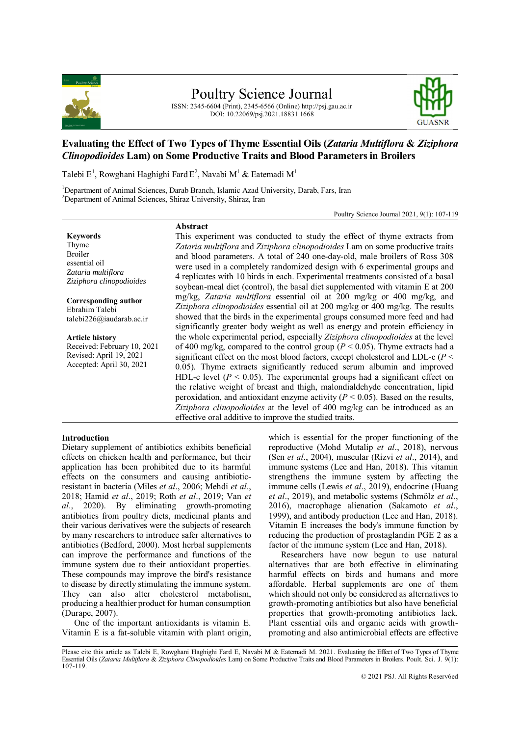

# Poultry Science Journal

ISSN: 2345-6604 (Print), 2345-6566 (Online) http://psj.gau.ac.ir DOI: 10.22069/psj.2021.18831.1668



## **Evaluating the Effect of Two Types of Thyme Essential Oils (***Zataria Multiflora* **&** *Ziziphora Clinopodioides* **Lam) on Some Productive Traits and Blood Parameters in Broilers**

Talebi  $E^1$ , Rowghani Haghighi Fard  $E^2$ , Navabi M<sup>1</sup> & Eatemadi M<sup>1</sup>

<sup>1</sup>Department of Animal Sciences, Darab Branch, Islamic Azad University, Darab, Fars, Iran <sup>2</sup>Department of Animal Sciences, Shiraz University, Shiraz, Iran

**Abstract**

Poultry Science Journal 2021, 9(1): 107-119

**Keywords** Thyme Broiler essential oil *Zataria multiflora Ziziphora clinopodioides* 

**Corresponding author** Ebrahim Talebi talebi226@iaudarab.ac.ir

**Article history** Received: February 10, 2021 Revised: April 19, 2021 Accepted: April 30, 2021

This experiment was conducted to study the effect of thyme extracts from *Zataria multiflora* and *Ziziphora clinopodioides* Lam on some productive traits and blood parameters. A total of 240 one-day-old, male broilers of Ross 308 were used in a completely randomized design with 6 experimental groups and 4 replicates with 10 birds in each. Experimental treatments consisted of a basal soybean-meal diet (control), the basal diet supplemented with vitamin E at 200 mg/kg, *Zataria multiflora* essential oil at 200 mg/kg or 400 mg/kg, and *Ziziphora clinopodioides* essential oil at 200 mg/kg or 400 mg/kg. The results showed that the birds in the experimental groups consumed more feed and had significantly greater body weight as well as energy and protein efficiency in the whole experimental period, especially *Ziziphora clinopodioides* at the level of 400 mg/kg, compared to the control group ( $P < 0.05$ ). Thyme extracts had a significant effect on the most blood factors, except cholesterol and LDL-c (*P* < 0.05). Thyme extracts significantly reduced serum albumin and improved HDL-c level  $(P < 0.05)$ . The experimental groups had a significant effect on the relative weight of breast and thigh, malondialdehyde concentration, lipid peroxidation, and antioxidant enzyme activity  $(P < 0.05)$ . Based on the results, *Ziziphora clinopodioides* at the level of 400 mg/kg can be introduced as an effective oral additive to improve the studied traits.

#### **Introduction**

Dietary supplement of antibiotics exhibits beneficial effects on chicken health and performance, but their application has been prohibited due to its harmful effects on the consumers and causing antibioticresistant in bacteria (Miles *et al*., 2006; Mehdi *et al*., 2018; Hamid *et al*., 2019; Roth *et al*., 2019; Van *et al*., 2020). By eliminating growth-promoting antibiotics from poultry diets, medicinal plants and their various derivatives were the subjects of research by many researchers to introduce safer alternatives to antibiotics (Bedford, 2000). Most herbal supplements can improve the performance and functions of the immune system due to their antioxidant properties. These compounds may improve the bird's resistance to disease by directly stimulating the immune system. They can also alter cholesterol metabolism, producing a healthier product for human consumption (Durape, 2007).

One of the important antioxidants is vitamin E. Vitamin E is a fat-soluble vitamin with plant origin, which is essential for the proper functioning of the reproductive (Mohd Mutalip *et al*., 2018), nervous (Sen *et al*., 2004), muscular (Rizvi *et al*., 2014), and immune systems (Lee and Han, 2018). This vitamin strengthens the immune system by affecting the immune cells (Lewis *et al*., 2019), endocrine (Huang *et al*., 2019), and metabolic systems (Schmölz *et al*., 2016), macrophage alienation (Sakamoto *et al*., 1999), and antibody production (Lee and Han, 2018). Vitamin E increases the body's immune function by reducing the production of prostaglandin PGE 2 as a factor of the immune system (Lee and Han, 2018).

Researchers have now begun to use natural alternatives that are both effective in eliminating harmful effects on birds and humans and more affordable. Herbal supplements are one of them which should not only be considered as alternatives to growth-promoting antibiotics but also have beneficial properties that growth-promoting antibiotics lack. Plant essential oils and organic acids with growthpromoting and also antimicrobial effects are effective

Please cite this article as Talebi E, Rowghani Haghighi Fard E, Navabi M & Eatemadi M. 2021. Evaluating the Effect of Two Types of Thyme Essential Oils (*Zataria Multiflora* & *Ziziphora Clinopodioides* Lam) on Some Productive Traits and Blood Parameters in Broilers. Poult. Sci. J. 9(1): 107-119.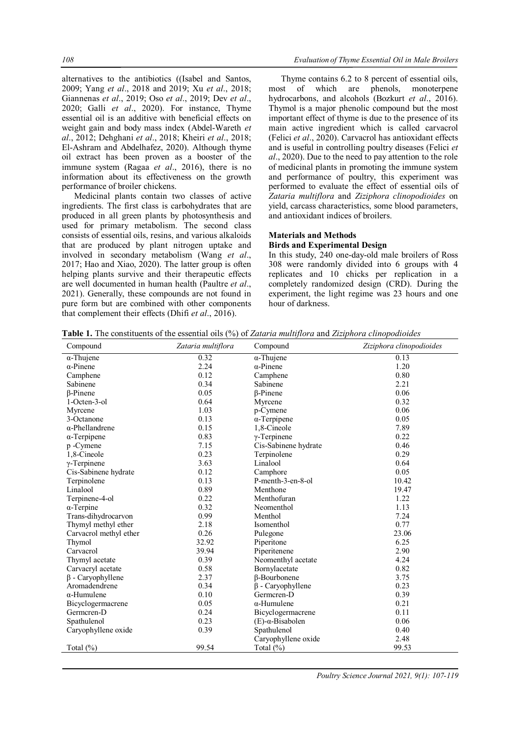alternatives to the antibiotics ((Isabel and Santos, 2009; Yang *et al*., 2018 and 2019; Xu *et al*., 2018; Giannenas *et al*., 2019; Oso *et al*., 2019; Dev *et al*., 2020; Galli *et al*., 2020). For instance, Thyme essential oil is an additive with beneficial effects on weight gain and body mass index (Abdel-Wareth *et al*., 2012; Dehghani *et al*., 2018; Kheiri *et al*., 2018; El-Ashram and Abdelhafez, 2020). Although thyme oil extract has been proven as a booster of the immune system (Ragaa *et al*., 2016), there is no information about its effectiveness on the growth performance of broiler chickens.

Medicinal plants contain two classes of active ingredients. The first class is carbohydrates that are produced in all green plants by photosynthesis and used for primary metabolism. The second class consists of essential oils, resins, and various alkaloids that are produced by plant nitrogen uptake and involved in secondary metabolism (Wang *et al*., 2017; Hao and Xiao, 2020). The latter group is often helping plants survive and their therapeutic effects are well documented in human health (Paultre *et al*., 2021). Generally, these compounds are not found in pure form but are combined with other components that complement their effects (Dhifi *et al*., 2016).

Thyme contains 6.2 to 8 percent of essential oils, most of which are phenols, monoterpene hydrocarbons, and alcohols (Bozkurt *et al*., 2016). Thymol is a major phenolic compound but the most important effect of thyme is due to the presence of its main active ingredient which is called carvacrol (Felici *et al*., 2020). Carvacrol has antioxidant effects and is useful in controlling poultry diseases (Felici *et al*., 2020). Due to the need to pay attention to the role of medicinal plants in promoting the immune system and performance of poultry, this experiment was performed to evaluate the effect of essential oils of *Zataria multiflora* and *Ziziphora clinopodioides* on yield, carcass characteristics, some blood parameters, and antioxidant indices of broilers.

#### **Materials and Methods**

#### **Birds and Experimental Design**

In this study, 240 one-day-old male broilers of Ross 308 were randomly divided into 6 groups with 4 replicates and 10 chicks per replication in a completely randomized design (CRD). During the experiment, the light regime was 23 hours and one hour of darkness.

**Table 1.** The constituents of the essential oils (%) of *Zataria multiflora* and *Ziziphora clinopodioides*

| Compound                | Zataria multiflora | Compound                     | Ziziphora clinopodioides |
|-------------------------|--------------------|------------------------------|--------------------------|
| $\alpha$ -Thujene       | 0.32               | $\overline{\alpha}$ -Thujene | 0.13                     |
| $\alpha$ -Pinene        | 2.24               | $\alpha$ -Pinene             | 1.20                     |
| Camphene                | 0.12               | Camphene                     | 0.80                     |
| Sabinene                | 0.34               | Sabinene                     | 2.21                     |
| $\beta$ -Pinene         | 0.05               | <b>B-Pinene</b>              | 0.06                     |
| 1-Octen-3-ol            | 0.64               | Myrcene                      | 0.32                     |
| Myrcene                 | 1.03               | p-Cymene                     | 0.06                     |
| 3-Octanone              | 0.13               | $\alpha$ -Terpipene          | 0.05                     |
| $\alpha$ -Phellandrene  | 0.15               | 1,8-Cineole                  | 7.89                     |
| $\alpha$ -Terpipene     | 0.83               | $\gamma$ -Terpinene          | 0.22                     |
| p -Cymene               | 7.15               | Cis-Sabinene hydrate         | 0.46                     |
| 1,8-Cineole             | 0.23               | Terpinolene                  | 0.29                     |
| $\gamma$ -Terpinene     | 3.63               | Linalool                     | 0.64                     |
| Cis-Sabinene hydrate    | 0.12               | Camphore                     | 0.05                     |
| Terpinolene             | 0.13               | P-menth-3-en-8-ol            | 10.42                    |
| Linalool                | 0.89               | Menthone                     | 19.47                    |
| Terpinene-4-ol          | 0.22               | Menthofuran                  | 1.22                     |
| $\alpha$ -Terpine       | 0.32               | Neomenthol                   | 1.13                     |
| Trans-dihydrocarvon     | 0.99               | Menthol                      | 7.24                     |
| Thymyl methyl ether     | 2.18               | Isomenthol                   | 0.77                     |
| Carvacrol methyl ether  | 0.26               | Pulegone                     | 23.06                    |
| Thymol                  | 32.92              | Piperitone                   | 6.25                     |
| Carvacrol               | 39.94              | Piperitenene                 | 2.90                     |
| Thymyl acetate          | 0.39               | Neomenthyl acetate           | 4.24                     |
| Carvacryl acetate       | 0.58               | Bornylacetate                | 0.82                     |
| $\beta$ - Caryophyllene | 2.37               | $\beta$ -Bourbonene          | 3.75                     |
| Aromadendrene           | 0.34               | $\beta$ - Caryophyllene      | 0.23                     |
| $\alpha$ -Humulene      | 0.10               | Germcren-D                   | 0.39                     |
| Bicyclogermacrene       | 0.05               | $\alpha$ -Humulene           | 0.21                     |
| Germcren-D              | 0.24               | Bicyclogermacrene            | 0.11                     |
| Spathulenol             | 0.23               | $(E)$ - $\alpha$ -Bisabolen  | 0.06                     |
| Caryophyllene oxide     | 0.39               | Spathulenol                  | 0.40                     |
|                         |                    | Caryophyllene oxide          | 2.48                     |
| Total (%)               | 99.54              | Total (%)                    | 99.53                    |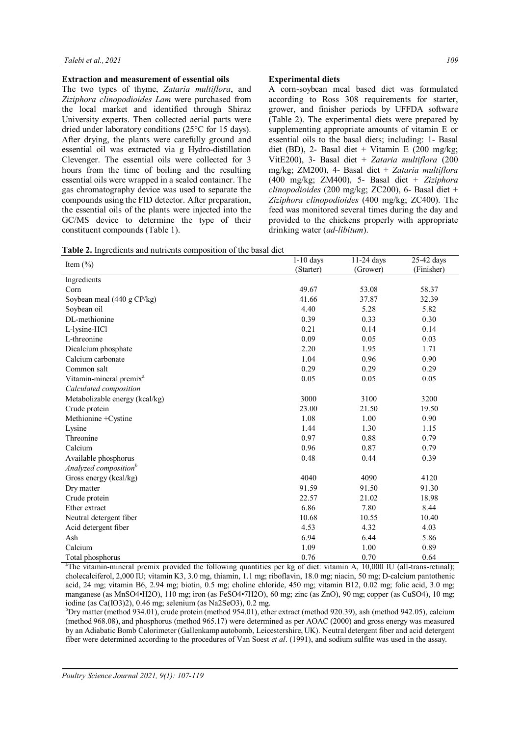#### **Extraction and measurement of essential oils**

The two types of thyme, *Zataria multiflora*, and *Ziziphora clinopodioides Lam* were purchased from the local market and identified through Shiraz University experts. Then collected aerial parts were dried under laboratory conditions (25°C for 15 days). After drying, the plants were carefully ground and essential oil was extracted via g Hydro-distillation Clevenger. The essential oils were collected for 3 hours from the time of boiling and the resulting essential oils were wrapped in a sealed container. The gas chromatography device was used to separate the compounds using the FID detector. After preparation, the essential oils of the plants were injected into the GC/MS device to determine the type of their constituent compounds (Table 1).

## **Experimental diets**

A corn-soybean meal based diet was formulated according to Ross 308 requirements for starter, grower, and finisher periods by UFFDA software (Table 2). The experimental diets were prepared by supplementing appropriate amounts of vitamin E or essential oils to the basal diets; including: 1- Basal diet (BD), 2- Basal diet + Vitamin E (200 mg/kg; VitE200), 3- Basal diet + *Zataria multiflora* (200 mg/kg; ZM200), 4- Basal diet + *Zataria multiflora* (400 mg/kg; ZM400), 5- Basal diet + *Ziziphora clinopodioides* (200 mg/kg; ZC200), 6- Basal diet + *Ziziphora clinopodioides* (400 mg/kg; ZC400). The feed was monitored several times during the day and provided to the chickens properly with appropriate drinking water (*ad-libitum*).

|                                     | $1-10$ days | $11-24$ days | 25-42 days |
|-------------------------------------|-------------|--------------|------------|
| Item $(\% )$                        | (Starter)   | (Grower)     | (Finisher) |
| Ingredients                         |             |              |            |
| Corn                                | 49.67       | 53.08        | 58.37      |
| Soybean meal (440 g CP/kg)          | 41.66       | 37.87        | 32.39      |
| Soybean oil                         | 4.40        | 5.28         | 5.82       |
| DI-methionine                       | 0.39        | 0.33         | 0.30       |
| L-lysine-HCl                        | 0.21        | 0.14         | 0.14       |
| L-threonine                         | 0.09        | 0.05         | 0.03       |
| Dicalcium phosphate                 | 2.20        | 1.95         | 1.71       |
| Calcium carbonate                   | 1.04        | 0.96         | 0.90       |
| Common salt                         | 0.29        | 0.29         | 0.29       |
| Vitamin-mineral premix <sup>a</sup> | 0.05        | 0.05         | 0.05       |
| Calculated composition              |             |              |            |
| Metabolizable energy (kcal/kg)      | 3000        | 3100         | 3200       |
| Crude protein                       | 23.00       | 21.50        | 19.50      |
| Methionine +Cystine                 | 1.08        | 1.00         | 0.90       |
| Lysine                              | 1.44        | 1.30         | 1.15       |
| Threonine                           | 0.97        | 0.88         | 0.79       |
| Calcium                             | 0.96        | 0.87         | 0.79       |
| Available phosphorus                | 0.48        | 0.44         | 0.39       |
| Analyzed composition <sup>b</sup>   |             |              |            |
| Gross energy (kcal/kg)              | 4040        | 4090         | 4120       |
| Dry matter                          | 91.59       | 91.50        | 91.30      |
| Crude protein                       | 22.57       | 21.02        | 18.98      |
| Ether extract                       | 6.86        | 7.80         | 8.44       |
| Neutral detergent fiber             | 10.68       | 10.55        | 10.40      |
| Acid detergent fiber                | 4.53        | 4.32         | 4.03       |
| Ash                                 | 6.94        | 6.44         | 5.86       |
| Calcium                             | 1.09        | 1.00         | 0.89       |
| Total phosphorus                    | 0.76        | 0.70         | 0.64       |

<sup>a</sup>The vitamin-mineral premix provided the following quantities per kg of diet: vitamin A,  $10,000$  IU (all-trans-retinal); cholecalciferol, 2,000 IU; vitamin K3, 3.0 mg, thiamin, 1.1 mg; riboflavin, 18.0 mg; niacin, 50 mg; D-calcium pantothenic acid, 24 mg; vitamin B6, 2.94 mg; biotin, 0.5 mg; choline chloride, 450 mg; vitamin B12, 0.02 mg; folic acid, 3.0 mg; manganese (as MnSO4•H2O), 110 mg; iron (as FeSO4•7H2O), 60 mg; zinc (as ZnO), 90 mg; copper (as CuSO4), 10 mg; iodine (as Ca(IO3)2), 0.46 mg; selenium (as Na2SeO3), 0.2 mg.

 $b$ Dry matter (method 934.01), crude protein (method 954.01), ether extract (method 920.39), ash (method 942.05), calcium (method 968.08), and phosphorus (method 965.17) were determined as per AOAC (2000) and gross energy was measured by an Adiabatic Bomb Calorimeter (Gallenkamp autobomb, Leicestershire, UK). Neutral detergent fiber and acid detergent fiber were determined according to the procedures of Van Soest *et al*. (1991), and sodium sulfite was used in the assay.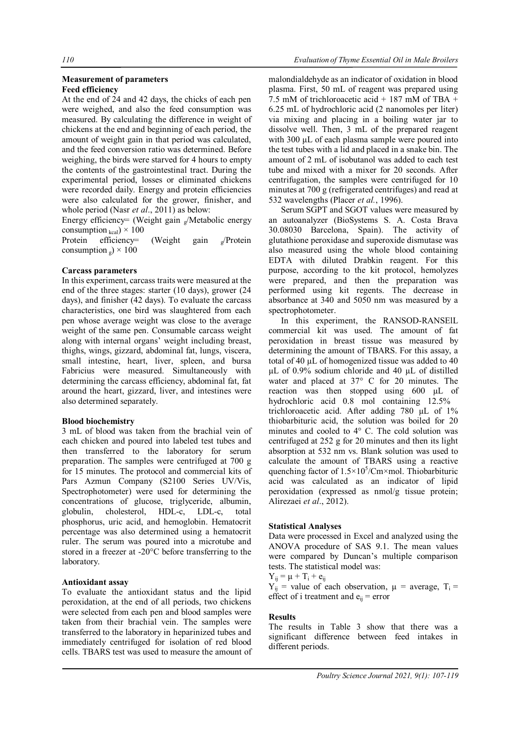#### **Measurement of parameters Feed efficiency**

At the end of 24 and 42 days, the chicks of each pen were weighed, and also the feed consumption was measured. By calculating the difference in weight of chickens at the end and beginning of each period, the amount of weight gain in that period was calculated, and the feed conversion ratio was determined. Before weighing, the birds were starved for 4 hours to empty the contents of the gastrointestinal tract. During the experimental period, losses or eliminated chickens were recorded daily. Energy and protein efficiencies were also calculated for the grower, finisher, and whole period (Nasr *et al*., 2011) as below:

Energy efficiency= (Weight gain  $\sqrt{a}$ Metabolic energy consumption  $_{\text{kcal}}$ ) × 100

Protein efficiency= (Weight gain <sub>g</sub>/Protein consumption  $_{\rm g}$ ) × 100

#### **Carcass parameters**

In this experiment, carcass traits were measured at the end of the three stages: starter (10 days), grower (24 days), and finisher (42 days). To evaluate the carcass characteristics, one bird was slaughtered from each pen whose average weight was close to the average weight of the same pen. Consumable carcass weight along with internal organs' weight including breast, thighs, wings, gizzard, abdominal fat, lungs, viscera, small intestine, heart, liver, spleen, and bursa Fabricius were measured. Simultaneously with determining the carcass efficiency, abdominal fat, fat around the heart, gizzard, liver, and intestines were also determined separately.

## **Blood biochemistry**

3 mL of blood was taken from the brachial vein of each chicken and poured into labeled test tubes and then transferred to the laboratory for serum preparation. The samples were centrifuged at 700 g for 15 minutes. The protocol and commercial kits of Pars Azmun Company (S2100 Series UV/Vis, Spectrophotometer) were used for determining the concentrations of glucose, triglyceride, albumin, globulin, cholesterol, HDL-c, LDL-c, total phosphorus, uric acid, and hemoglobin. Hematocrit percentage was also determined using a hematocrit ruler. The serum was poured into a microtube and stored in a freezer at -20°C before transferring to the laboratory.

#### **Antioxidant assay**

To evaluate the antioxidant status and the lipid peroxidation, at the end of all periods, two chickens were selected from each pen and blood samples were taken from their brachial vein. The samples were transferred to the laboratory in heparinized tubes and immediately centrifuged for isolation of red blood cells. TBARS test was used to measure the amount of

malondialdehyde as an indicator of oxidation in blood plasma. First, 50 mL of reagent was prepared using 7.5 mM of trichloroacetic acid + 187 mM of TBA + 6.25 mL of hydrochloric acid (2 nanomoles per liter) via mixing and placing in a boiling water jar to dissolve well. Then, 3 mL of the prepared reagent with 300 μL of each plasma sample were poured into the test tubes with a lid and placed in a snake bin. The amount of 2 mL of isobutanol was added to each test tube and mixed with a mixer for 20 seconds. After centrifugation, the samples were centrifuged for 10 minutes at 700 g (refrigerated centrifuges) and read at 532 wavelengths (Placer *et al.*, 1996).

Serum SGPT and SGOT values were measured by an autoanalyzer (BioSystems S. A. Costa Brava 30.08030 Barcelona, Spain). The activity of glutathione peroxidase and superoxide dismutase was also measured using the whole blood containing EDTA with diluted Drabkin reagent. For this purpose, according to the kit protocol, hemolyzes were prepared, and then the preparation was performed using kit regents. The decrease in absorbance at 340 and 5050 nm was measured by a spectrophotometer.

In this experiment, the RANSOD-RANSElL commercial kit was used. The amount of fat peroxidation in breast tissue was measured by determining the amount of TBARS. For this assay, a total of 40 µL of homogenized tissue was added to 40 µL of 0.9% sodium chloride and 40 µL of distilled water and placed at 37° C for 20 minutes. The reaction was then stopped using 600 µL of hydrochloric acid 0.8 mol containing 12.5% trichloroacetic acid. After adding 780 µL of 1% thiobarbituric acid, the solution was boiled for 20 minutes and cooled to 4° C. The cold solution was centrifuged at 252 g for 20 minutes and then its light absorption at 532 nm vs. Blank solution was used to calculate the amount of TBARS using a reactive quenching factor of  $1.5 \times 10^5$ /Cm $\times$ mol. Thiobarbituric acid was calculated as an indicator of lipid peroxidation (expressed as nmol/g tissue protein; Alirezaei *et al*., 2012).

#### **Statistical Analyses**

Data were processed in Excel and analyzed using the ANOVA procedure of SAS 9.1. The mean values were compared by Duncan's multiple comparison tests. The statistical model was:

$$
Y_{ij} = \mu + T_i + e_{ij}
$$

 $Y_{ij}$  = value of each observation,  $\mu$  = average,  $T_i$  = effect of i treatment and  $e_{ij}$  = error

## **Results**

The results in Table 3 show that there was a significant difference between feed intakes in different periods.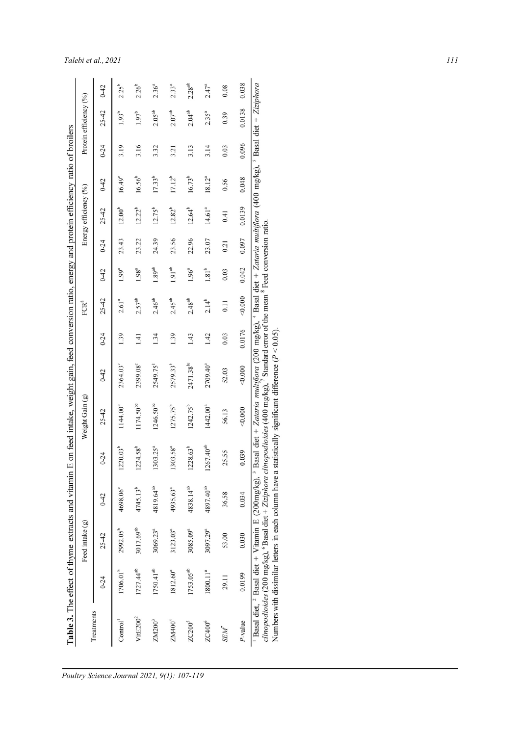|                      |                       | Feed intake (g)       |                                                                                                                                                                                                                                                                                                   |                      | Weight Gain (g)                                                                                                                                                                                    |                       |          | ${\rm FCR}^8$      |                   |          | Energy efficiency (%) |                 |          | Protein efficiency (%) |                    |
|----------------------|-----------------------|-----------------------|---------------------------------------------------------------------------------------------------------------------------------------------------------------------------------------------------------------------------------------------------------------------------------------------------|----------------------|----------------------------------------------------------------------------------------------------------------------------------------------------------------------------------------------------|-----------------------|----------|--------------------|-------------------|----------|-----------------------|-----------------|----------|------------------------|--------------------|
| Treatments           | $0 - 24$              | $25 - 42$             | $0 - 42$                                                                                                                                                                                                                                                                                          | $0 - 24$             | $25 - 42$                                                                                                                                                                                          | $0 - 42$              | $0 - 24$ | $25 - 42$          | $0 - 42$          | $0 - 24$ | $25 - 42$             | $0 - 42$        | $0 - 24$ | $25 - 42$              | $0 - 42$           |
| Control <sup>1</sup> | 1706.01 <sup>b</sup>  | 2992.05 <sup>b</sup>  | 4698.06°                                                                                                                                                                                                                                                                                          | $1220.03^{b}$        | 1144.00°                                                                                                                                                                                           | 2364.03°              | 1.39     | 2.61 <sup>a</sup>  | 1.99 <sup>a</sup> | 23.43    | $12.00^{b}$           | $16.49^{\circ}$ | 3.19     | $1.93^{b}$             | $2.25^{b}$         |
| VitE200 <sup>2</sup> | 1727.44 <sup>ab</sup> | 3017.69 <sup>ab</sup> | 4745.13 <sup>b</sup>                                                                                                                                                                                                                                                                              | $1224.58^{b}$        | 1174.50 <sup>bc</sup>                                                                                                                                                                              | 2399.08               | 1.41     | 2.57 <sup>ab</sup> | 1.98 <sup>a</sup> | 23.22    | $12.22^{b}$           | $16.56^{b}$     | 3.16     | $1.97^{b}$             | $2.26^{b}$         |
| ZM200 <sup>3</sup>   | 1750.41 <sup>ab</sup> | 3069.23ª              | 4819.64 <sup>ab</sup>                                                                                                                                                                                                                                                                             | 1303.25 <sup>a</sup> | 1246.50 <sup>bc</sup>                                                                                                                                                                              | 2549.75 <sup>b</sup>  | 1.34     | 2.46 <sup>ab</sup> | $1.89^{ab}$       | 24.39    | $12.75^{b}$           | $17.33^{b}$     | 3.32     | 2.05 <sup>ab</sup>     | $2.36^{a}$         |
| ZM400 <sup>4</sup>   | 1812.60 <sup>a</sup>  | 3123.03 <sup>a</sup>  | 4935.63ª                                                                                                                                                                                                                                                                                          | 1303.58 <sup>a</sup> | $1275.75^{b}$                                                                                                                                                                                      | 2579.33 <sup>b</sup>  | 1.39     | $2.45^{ab}$        | $1.91^{ab}$       | 23.56    | $12.82^{b}$           | $17.12^{b}$     | 3.21     | $2.07^{ab}$            | $2.33^{a}$         |
| ZC200 <sup>5</sup>   | 1753.05 <sup>ab</sup> | 3085.09 <sup>a</sup>  | 4838.14 <sup>ab</sup>                                                                                                                                                                                                                                                                             | $1228.63^{b}$        | $1242.75^{b}$                                                                                                                                                                                      | 2471.38 <sup>bc</sup> | 1.43     | $2.48^{ab}$        | $1.96^{a}$        | 22.96    | $12.64^{b}$           | $16.73^{b}$     | 3.13     | $2.04^{ab}$            | 2.28 <sup>ab</sup> |
| ZC400°               | 1800.11 <sup>a</sup>  | 3097.29 <sup>a</sup>  | 4897.40 <sup>ab</sup>                                                                                                                                                                                                                                                                             | $1267.40^{ab}$       | 1442.00 <sup>a</sup>                                                                                                                                                                               | 2709.40 <sup>a</sup>  | 1.42     | $2.14^{b}$         | $1.81^{b}$        | 23.07    | 14.61 <sup>a</sup>    | $18.12^{a}$     | 3.14     | $2.35^{a}$             | $2.47^{a}$         |
| <b>SEM</b>           | 29.11                 | 53.00                 | 36.58                                                                                                                                                                                                                                                                                             | 25.55                | 56.13                                                                                                                                                                                              | 52.03                 | 0.03     | 0.11               | 0.03              | 0.21     | 0.41                  | 0.56            | 0.03     | 0.39                   | 0.08               |
| P-value              | 0.0199                | 0.030                 | 0.034                                                                                                                                                                                                                                                                                             | 0.039                | < 0.000                                                                                                                                                                                            | 40.000                | 0.0176   | 0.000              | 0.042             | 0.097    | 0.0139                | 0.048           | 0.096    | 0.0138                 | 0.038              |
|                      |                       |                       | clinopodioides (200 mg/kg), °Basal diet + Ziziphora clinopodioides (400 mg/kg), ′Standard error of the mean <sup>8</sup> Feed conversion ratio.<br>Numbers with dissimilar letters in each column have a<br><sup>1</sup> Basal diet, <sup>2</sup> Basal diet + Vitamin E (200mg/kg), <sup>3</sup> |                      | Basal diet + Zataria multiflora (200 mg/kg), <sup>4</sup> Basal diet + Zataria multiflora (400 mg/kg), <sup>5</sup> Basal diet + Ziziphora<br>statistically significant difference ( $P < 0.05$ ). |                       |          |                    |                   |          |                       |                 |          |                        |                    |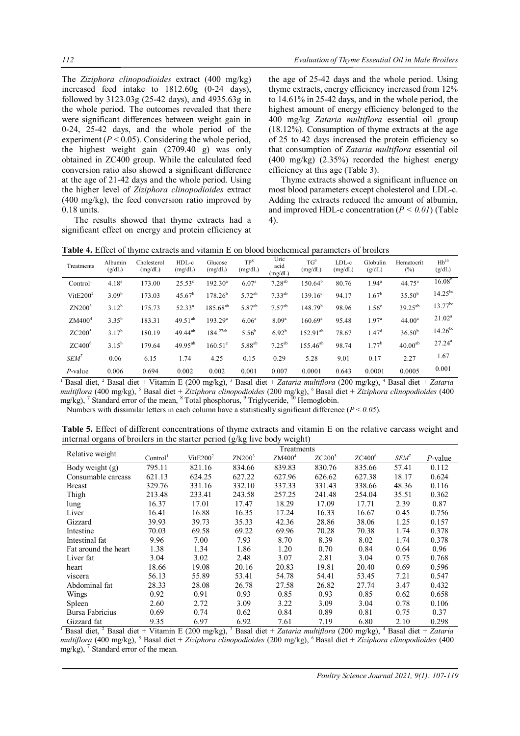The *Ziziphora clinopodioides* extract (400 mg/kg) increased feed intake to 1812.60g (0-24 days), followed by 3123.03g (25-42 days), and 4935.63g in the whole period. The outcomes revealed that there were significant differences between weight gain in 0-24, 25-42 days, and the whole period of the experiment  $(P < 0.05)$ . Considering the whole period, the highest weight gain (2709.40 g) was only obtained in ZC400 group. While the calculated feed conversion ratio also showed a significant difference at the age of 21-42 days and the whole period. Using the higher level of *Ziziphora clinopodioides* extract (400 mg/kg), the feed conversion ratio improved by 0.18 units.

The results showed that thyme extracts had a significant effect on energy and protein efficiency at

the age of 25-42 days and the whole period. Using thyme extracts, energy efficiency increased from 12% to 14.61% in 25-42 days, and in the whole period, the highest amount of energy efficiency belonged to the 400 mg/kg *Zataria multiflora* essential oil group (18.12%). Consumption of thyme extracts at the age of 25 to 42 days increased the protein efficiency so that consumption of *Zataria multiflora* essential oil  $(400 \text{ mg/kg})$   $(2.35\%)$  recorded the highest energy efficiency at this age (Table 3).

Thyme extracts showed a significant influence on most blood parameters except cholesterol and LDL-c. Adding the extracts reduced the amount of albumin, and improved HDL-c concentration  $(P < 0.01)$  (Table 4).

| <b>Table 4.</b> Effect of thyme extracts and vitamin E on blood biochemical parameters of broilers |  |  |  |
|----------------------------------------------------------------------------------------------------|--|--|--|
|----------------------------------------------------------------------------------------------------|--|--|--|

| Treatments                  | Albumin<br>(g/dL) | Cholesterol<br>(mg/dL) | $HDL-c$<br>(mg/dL) | Glucose<br>(mg/dL)  | TP <sup>8</sup><br>(mg/dL) | Uric<br>acid<br>(mg/dL) | $TG^9$<br>(mg/dL)   | $LDL-c$<br>(mg/dL) | Globulin<br>(g/dL) | Hematocrit<br>$(\%)$ | $Hb^{10}$<br>(g/dL) |
|-----------------------------|-------------------|------------------------|--------------------|---------------------|----------------------------|-------------------------|---------------------|--------------------|--------------------|----------------------|---------------------|
| Control <sup>1</sup>        | $4.18^{a}$        | 173.00                 | $25.53^{\circ}$    | $192.30^{a}$        | 6.07 <sup>a</sup>          | $7.28^{ab}$             | $150.64^{b}$        | 80.76              | $1.94^a$           | $44.75^a$            | $16.08^{b}$         |
| $Vi$ t $E$ 200 <sup>2</sup> | 3.09 <sup>b</sup> | 173.03                 | $45.67^{\rm b}$    | $178.26^b$          | $5.72^{ab}$                | $7.33^{ab}$             | $139.16^{\circ}$    | 94.17              | $1.67^{\rm b}$     | $35.50^{b}$          | $14.25^{bc}$        |
| ZN200 <sup>3</sup>          | $3.12^{b}$        | 175.73                 | $52.33^{a}$        | $185.68^{ab}$       | 5.87 <sup>ab</sup>         | $7.57^{ab}$             | 148.79 <sup>b</sup> | 98.96              | 1.56 <sup>c</sup>  | $39.25^{ab}$         | $13.77^{bc}$        |
| ZM400 <sup>4</sup>          | $3.35^{b}$        | 183.31                 | $49.51^{ab}$       | 193.29 <sup>a</sup> | 6.06 <sup>a</sup>          | 8.09 <sup>a</sup>       | 160.69 <sup>a</sup> | 95.48              | 1.97 <sup>a</sup>  | 44.00 <sup>a</sup>   | $21.02^a$           |
| $ZC200^5$                   | $3.17^{b}$        | 180.19                 | $49.44^{ab}$       | $184.^{27ab}$       | $5.56^{b}$                 | $6.92^{b}$              | $152.91^{ab}$       | 78.67              | $1.47^d$           | $36.50^{b}$          | $14.26^{bc}$        |
| $ZC400^6$                   | $3.15^{b}$        | 179.64                 | $49.95^{ab}$       | $160.51^{\circ}$    | 5.88 <sup>ab</sup>         | $7.25^{ab}$             | $155.46^{ab}$       | 98.74              | $1.77^{\rm b}$     | 40.00 <sup>ab</sup>  | $27.24^a$           |
| SEM <sup>7</sup>            | 0.06              | 6.15                   | 1.74               | 4.25                | 0.15                       | 0.29                    | 5.28                | 9.01               | 0.17               | 2.27                 | 1.67                |
| $P$ -value                  | 0.006             | 0.694                  | 0.002              | 0.002               | 0.001                      | 0.007                   | 0.0001              | 0.643              | 0.0001             | 0.0005               | 0.001               |

<sup>1</sup> Basal diet, <sup>2</sup> Basal diet + Vitamin E (200 mg/kg), <sup>3</sup> Basal diet + *Zataria multiflora* (200 mg/kg), <sup>4</sup> Basal diet + *Zataria multiflora* (400 mg/kg), <sup>5</sup> Basal diet + *Ziziphora clinopodioides* (200 mg/kg), <sup>6</sup> Basal diet + *Ziziphora clinopodioides* (400 mg/kg), <sup>7</sup> Standard error of the mean, <sup>8</sup> Total phosphorus, <sup>9</sup> Triglyceride, <sup>10</sup> Hemoglobin.

Numbers with dissimilar letters in each column have a statistically significant difference (*P* < *0.05*).

**Table 5.** Effect of different concentrations of thyme extracts and vitamin E on the relative carcass weight and internal organs of broilers in the starter period (g/kg live body weight)

|                      |                      |              |                    | Treatments         |                    |           |                         |            |
|----------------------|----------------------|--------------|--------------------|--------------------|--------------------|-----------|-------------------------|------------|
| Relative weight      | Control <sup>1</sup> | Vit $E200^2$ | ZN200 <sup>3</sup> | ZM400 <sup>4</sup> | ZC200 <sup>5</sup> | $ZC400^6$ | <b>SEM</b> <sup>7</sup> | $P$ -value |
| Body weight $(g)$    | 795.11               | 821.16       | 834.66             | 839.83             | 830.76             | 835.66    | 57.41                   | 0.112      |
| Consumable carcass   | 621.13               | 624.25       | 627.22             | 627.96             | 626.62             | 627.38    | 18.17                   | 0.624      |
| <b>Breast</b>        | 329.76               | 331.16       | 332.10             | 337.33             | 331.43             | 338.66    | 48.36                   | 0.116      |
| Thigh                | 213.48               | 233.41       | 243.58             | 257.25             | 241.48             | 254.04    | 35.51                   | 0.362      |
| lung                 | 16.37                | 17.01        | 17.47              | 18.29              | 17.09              | 17.71     | 2.39                    | 0.87       |
| Liver                | 16.41                | 16.88        | 16.35              | 17.24              | 16.33              | 16.67     | 0.45                    | 0.756      |
| Gizzard              | 39.93                | 39.73        | 35.33              | 42.36              | 28.86              | 38.06     | 1.25                    | 0.157      |
| Intestine            | 70.03                | 69.58        | 69.22              | 69.96              | 70.28              | 70.38     | 1.74                    | 0.378      |
| Intestinal fat       | 9.96                 | 7.00         | 7.93               | 8.70               | 8.39               | 8.02      | 1.74                    | 0.378      |
| Fat around the heart | 1.38                 | 1.34         | 1.86               | 1.20               | 0.70               | 0.84      | 0.64                    | 0.96       |
| Liver fat            | 3.04                 | 3.02         | 2.48               | 3.07               | 2.81               | 3.04      | 0.75                    | 0.768      |
| heart                | 18.66                | 19.08        | 20.16              | 20.83              | 19.81              | 20.40     | 0.69                    | 0.596      |
| viscera              | 56.13                | 55.89        | 53.41              | 54.78              | 54.41              | 53.45     | 7.21                    | 0.547      |
| Abdominal fat        | 28.33                | 28.08        | 26.78              | 27.58              | 26.82              | 27.74     | 3.47                    | 0.432      |
| Wings                | 0.92                 | 0.91         | 0.93               | 0.85               | 0.93               | 0.85      | 0.62                    | 0.658      |
| Spleen               | 2.60                 | 2.72         | 3.09               | 3.22               | 3.09               | 3.04      | 0.78                    | 0.106      |
| Bursa Fabricius      | 0.69                 | 0.74         | 0.62               | 0.84               | 0.89               | 0.81      | 0.75                    | 0.37       |
| Gizzard fat          | 9.35                 | 6.97         | 6.92               | 7.61               | 7.19               | 6.80      | 2.10                    | 0.298      |

<sup>1</sup> Basal diet, <sup>2</sup> Basal diet + Vitamin E (200 mg/kg), <sup>3</sup> Basal diet + *Zataria multiflora* (200 mg/kg), <sup>4</sup> Basal diet + *Zataria multiflora* (400 mg/kg), <sup>5</sup> Basal diet + *Ziziphora clinopodioides* (200 mg/kg), <sup>6</sup> Basal diet + *Ziziphora clinopodioides* (400 mg/kg), 7 Standard error of the mean.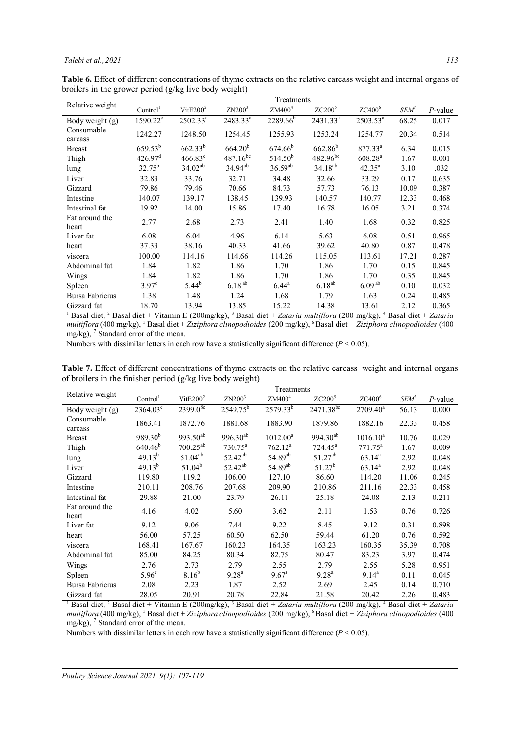**Table 6.** Effect of different concentrations of thyme extracts on the relative carcass weight and internal organs of broilers in the grower period (g/kg live body weight)

|                                    |                        |                                                          |                        | Treatments                             |                               |                                                 |         |                                   |
|------------------------------------|------------------------|----------------------------------------------------------|------------------------|----------------------------------------|-------------------------------|-------------------------------------------------|---------|-----------------------------------|
| Relative weight                    | Control <sup>1</sup>   | $V$ it $E$ 200 <sup>2</sup>                              | ZN200 <sup>3</sup>     | ZM400 <sup>4</sup>                     | ZC200 <sup>5</sup>            | $ZC400^6$                                       | $SEM^7$ | $P$ -value                        |
| Body weight (g)                    | 1590.22 <sup>c</sup>   | $2502.33^a$                                              | 2483.33 <sup>a</sup>   | $2289.66^{b}$                          | 2431.33 <sup>a</sup>          | $2503.53^a$                                     | 68.25   | 0.017                             |
| Consumable<br>carcass              | 1242.27                | 1248.50                                                  | 1254.45                | 1255.93                                | 1253.24                       | 1254.77                                         | 20.34   | 0.514                             |
| <b>Breast</b>                      | $659.53^{b}$           | $662.33^{b}$                                             | $664.20^{b}$           | $674.66^{b}$                           | $662.86^{b}$                  | $877.33^{a}$                                    | 6.34    | 0.015                             |
| Thigh                              | 426.97 <sup>d</sup>    | $466.83^{\circ}$                                         | $487.16^{bc}$          | $514.50^{b}$                           | $482.96^{bc}$                 | $608.28^{a}$                                    | 1.67    | 0.001                             |
| lung                               | $32.75^{b}$            | $34.02^{ab}$                                             | $34.94^{ab}$           | $36.59^{ab}$                           | $34.18^{ab}$                  | $42.35^a$                                       | 3.10    | .032                              |
| Liver                              | 32.83                  | 33.76                                                    | 32.71                  | 34.48                                  | 32.66                         | 33.29                                           | 0.17    | 0.635                             |
| Gizzard                            | 79.86                  | 79.46                                                    | 70.66                  | 84.73                                  | 57.73                         | 76.13                                           | 10.09   | 0.387                             |
| Intestine                          | 140.07                 | 139.17                                                   | 138.45                 | 139.93                                 | 140.57                        | 140.77                                          | 12.33   | 0.468                             |
| Intestinal fat                     | 19.92                  | 14.00                                                    | 15.86                  | 17.40                                  | 16.78                         | 16.05                                           | 3.21    | 0.374                             |
| Fat around the<br>heart            | 2.77                   | 2.68                                                     | 2.73                   | 2.41                                   | 1.40                          | 1.68                                            | 0.32    | 0.825                             |
| Liver fat                          | 6.08                   | 6.04                                                     | 4.96                   | 6.14                                   | 5.63                          | 6.08                                            | 0.51    | 0.965                             |
| heart                              | 37.33                  | 38.16                                                    | 40.33                  | 41.66                                  | 39.62                         | 40.80                                           | 0.87    | 0.478                             |
| viscera                            | 100.00                 | 114.16                                                   | 114.66                 | 114.26                                 | 115.05                        | 113.61                                          | 17.21   | 0.287                             |
| Abdominal fat                      | 1.84                   | 1.82                                                     | 1.86                   | 1.70                                   | 1.86                          | 1.70                                            | 0.15    | 0.845                             |
| Wings                              | 1.84                   | 1.82                                                     | 1.86                   | 1.70                                   | 1.86                          | 1.70                                            | 0.35    | 0.845                             |
| Spleen                             | $3.97^{\circ}$         | $5.44^{b}$                                               | 6.18 <sup>ab</sup>     | $6.44^{a}$                             | $6.18^{ab}$                   | $6.09^{ab}$                                     | 0.10    | 0.032                             |
| Bursa Fabricius                    | 1.38                   | 1.48                                                     | 1.24                   | 1.68                                   | 1.79                          | 1.63                                            | 0.24    | 0.485                             |
| Gizzard fat<br>$1 - 1$ $1 + 2 - 1$ | 18.70<br>$\sim$ $\sim$ | 13.94<br>$\cdot$ $\cdot$ $\cdot$ $\cdot$ $\cdot$ $\cdot$ | 13.85<br>$\sim$ $2\pi$ | 15.22<br>$\mathbf{a}$ and $\mathbf{a}$ | 14.38<br>$\sim$ $\sim$ $\sim$ | 13.61<br>$\mathbf{a}$ $\mathbf{a}$ $\mathbf{b}$ | 2.12    | 0.365<br>$\overline{\phantom{a}}$ |

<sup>1</sup> Basal diet, <sup>2</sup> Basal diet + Vitamin E (200mg/kg), <sup>3</sup> Basal diet + *Zataria multiflora* (200 mg/kg), <sup>4</sup> Basal diet + *Zataria multiflora* (400 mg/kg), <sup>5</sup> Basal diet + *Ziziphora clinopodioides* (200 mg/kg), <sup>6</sup> Basal diet + *Ziziphora clinopodioides* (400 mg/kg), 7 Standard error of the mean.

Numbers with dissimilar letters in each row have a statistically significant difference (*P* < 0.05).

**Table 7.** Effect of different concentrations of thyme extracts on the relative carcass weight and internal organs of broilers in the finisher period (g/kg live body weight)

| Relative weight         |                      |                             |                     | Treatments          |                    |                |         |            |
|-------------------------|----------------------|-----------------------------|---------------------|---------------------|--------------------|----------------|---------|------------|
|                         | Control <sup>1</sup> | $Vi$ t $E$ 200 <sup>2</sup> | ZN200 <sup>3</sup>  | $\text{ZM}400^4$    | ZC200 <sup>5</sup> | $ZC400^6$      | $SEM^7$ | $P$ -value |
| Body weight (g)         | 2364.03°             | $2399.0^{8c}$               | $2549.75^b$         | $2579.33^{b}$       | $2471.38^{bc}$     | $2709.40^a$    | 56.13   | 0.000      |
| Consumable<br>carcass   | 1863.41              | 1872.76                     | 1881.68             | 1883.90             | 1879.86            | 1882.16        | 22.33   | 0.458      |
| <b>Breast</b>           | $989.30^{b}$         | $993.50^{ab}$               | $996.30^{ab}$       | $1012.00^a$         | $994.30^{ab}$      | $1016.10^a$    | 10.76   | 0.029      |
| Thigh                   | 640.46 <sup>b</sup>  | $700.25^{ab}$               | $730.75^{\text{a}}$ | $762.12^a$          | $724.45^a$         | $771.75^a$     | 1.67    | 0.009      |
| lung                    | $49.13^{b}$          | $51.04^{ab}$                | $52.42^{ab}$        | 54.89 <sup>ab</sup> | $51.27^{ab}$       | $63.14^a$      | 2.92    | 0.048      |
| Liver                   | $49.13^{b}$          | $51.04^{b}$                 | 52.42 <sup>ab</sup> | 54.89 <sup>ab</sup> | $51.27^b$          | $63.14^a$      | 2.92    | 0.048      |
| Gizzard                 | 119.80               | 119.2                       | 106.00              | 127.10              | 86.60              | 114.20         | 11.06   | 0.245      |
| Intestine               | 210.11               | 208.76                      | 207.68              | 209.90              | 210.86             | 211.16         | 22.33   | 0.458      |
| Intestinal fat          | 29.88                | 21.00                       | 23.79               | 26.11               | 25.18              | 24.08          | 2.13    | 0.211      |
| Fat around the<br>heart | 4.16                 | 4.02                        | 5.60                | 3.62                | 2.11               | 1.53           | 0.76    | 0.726      |
| Liver fat               | 9.12                 | 9.06                        | 7.44                | 9.22                | 8.45               | 9.12           | 0.31    | 0.898      |
| heart                   | 56.00                | 57.25                       | 60.50               | 62.50               | 59.44              | 61.20          | 0.76    | 0.592      |
| viscera                 | 168.41               | 167.67                      | 160.23              | 164.35              | 163.23             | 160.35         | 35.39   | 0.708      |
| Abdominal fat           | 85.00                | 84.25                       | 80.34               | 82.75               | 80.47              | 83.23          | 3.97    | 0.474      |
| Wings                   | 2.76                 | 2.73                        | 2.79                | 2.55                | 2.79               | 2.55           | 5.28    | 0.951      |
| Spleen                  | $5.96^{\circ}$       | $8.16^{b}$                  | $9.28^{\rm a}$      | $9.67^{\circ}$      | $9.28^{a}$         | $9.14^{\rm a}$ | 0.11    | 0.045      |
| Bursa Fabricius         | 2.08                 | 2.23                        | 1.87                | 2.52                | 2.69               | 2.45           | 0.14    | 0.710      |
| Gizzard fat             | 28.05                | 20.91                       | 20.78               | 22.84               | 21.58              | 20.42          | 2.26    | 0.483      |

<sup>1</sup> Basal diet, <sup>2</sup> Basal diet + Vitamin E (200mg/kg), <sup>3</sup> Basal diet + *Zataria multiflora* (200 mg/kg), <sup>4</sup> Basal diet + *Zataria multiflora* (400 mg/kg), <sup>5</sup> Basal diet + *Ziziphora clinopodioides* (200 mg/kg), <sup>6</sup> Basal diet + *Ziziphora clinopodioides* (400 mg/kg), 7 Standard error of the mean.

Numbers with dissimilar letters in each row have a statistically significant difference (*P* < 0.05).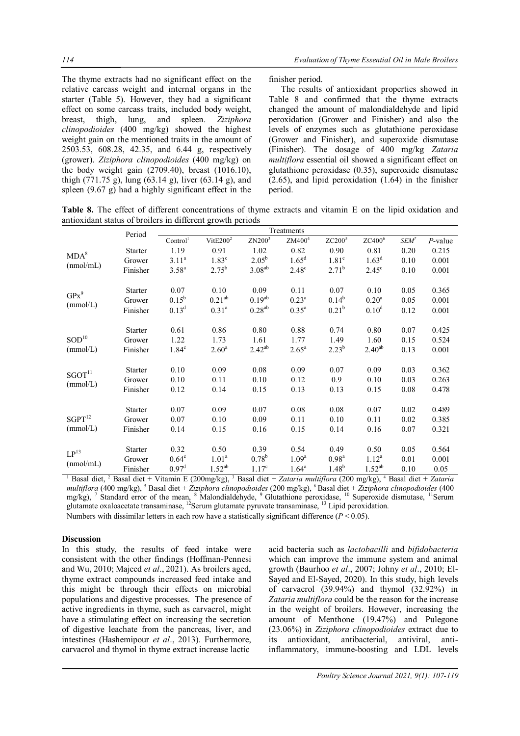The thyme extracts had no significant effect on the relative carcass weight and internal organs in the starter (Table 5). However, they had a significant effect on some carcass traits, included body weight, breast, thigh, lung, and spleen. *Ziziphora clinopodioides* (400 mg/kg) showed the highest weight gain on the mentioned traits in the amount of 2503.53, 608.28, 42.35, and 6.44 g, respectively (grower). *Ziziphora clinopodioides* (400 mg/kg) on the body weight gain (2709.40), breast (1016.10), thigh (771.75 g), lung (63.14 g), liver (63.14 g), and spleen (9.67 g) had a highly significant effect in the

finisher period.

The results of antioxidant properties showed in Table 8 and confirmed that the thyme extracts changed the amount of malondialdehyde and lipid peroxidation (Grower and Finisher) and also the levels of enzymes such as glutathione peroxidase (Grower and Finisher), and superoxide dismutase (Finisher). The dosage of 400 mg/kg *Zataria multiflora* essential oil showed a significant effect on glutathione peroxidase (0.35), superoxide dismutase (2.65), and lipid peroxidation (1.64) in the finisher period.

**Table 8.** The effect of different concentrations of thyme extracts and vitamin E on the lipid oxidation and antioxidant status of broilers in different growth periods

| $P$ -value<br>0.215<br>0.001<br>0.001 |
|---------------------------------------|
|                                       |
|                                       |
|                                       |
|                                       |
| 0.365                                 |
| 0.001                                 |
| 0.001                                 |
| 0.425                                 |
| 0.524                                 |
| 0.001                                 |
| 0.362                                 |
| 0.263                                 |
| 0.478                                 |
| 0.489                                 |
| 0.385                                 |
| 0.321                                 |
| 0.564                                 |
| 0.001                                 |
| 0.05                                  |
|                                       |

<sup>1</sup> Basal diet, <sup>2</sup> Basal diet + Vitamin E (200mg/kg), <sup>3</sup> Basal diet + *Zataria multiflora* (200 mg/kg), <sup>4</sup> Basal diet + *Zataria multiflora* (400 mg/kg), <sup>5</sup> Basal diet + *Ziziphora clinopodioides* (200 mg/kg), <sup>6</sup> Basal diet + *Ziziphora clinopodioides* (400 mg/kg), <sup>7</sup> Standard error of the mean, <sup>8</sup> Malondialdehyde, <sup>9</sup> Glutathione peroxidase, <sup>10</sup> Superoxide dismutase, <sup>11</sup>Serum glutamate oxaloacetate transaminase, <sup>12</sup>Serum glutamate pyruvate transaminase, <sup>13</sup> Lipid peroxidation. Numbers with dissimilar letters in each row have a statistically significant difference (*P* < 0.05).

## **Discussion**

In this study, the results of feed intake were consistent with the other findings (Hoffman-Pennesi and Wu, 2010; Majeed *et al*., 2021). As broilers aged, thyme extract compounds increased feed intake and this might be through their effects on microbial populations and digestive processes. The presence of active ingredients in thyme, such as carvacrol, might have a stimulating effect on increasing the secretion of digestive leachate from the pancreas, liver, and intestines (Hashemipour *et al*., 2013). Furthermore, carvacrol and thymol in thyme extract increase lactic

acid bacteria such as *lactobacilli* and *bifidobacteria*  which can improve the immune system and animal growth (Baurhoo *et al*., 2007; Johny *et al*., 2010; El-Sayed and El-Sayed, 2020). In this study, high levels of carvacrol (39.94%) and thymol (32.92%) in *Zataria multiflora* could be the reason for the increase in the weight of broilers. However, increasing the amount of Menthone (19.47%) and Pulegone (23.06%) in *Ziziphora clinopodioides* extract due to its antioxidant, antibacterial, antiviral, antiinflammatory, immune-boosting and LDL levels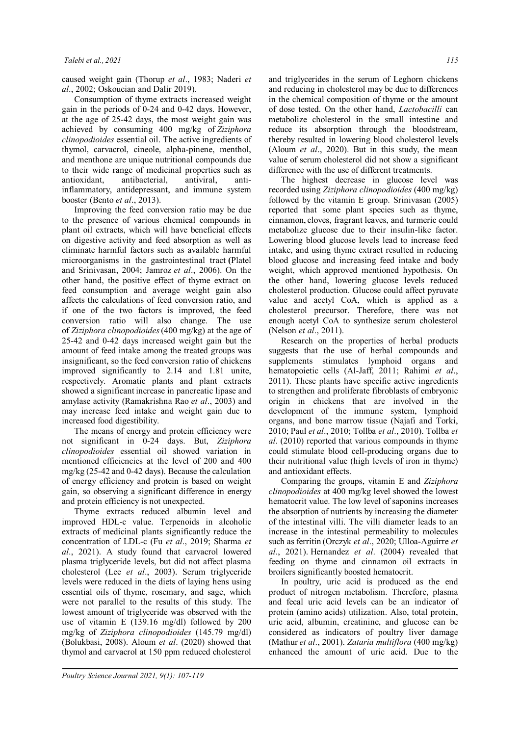caused weight gain (Thorup *et al*., 1983; Naderi *et al*., 2002; Oskoueian and Dalir 2019).

Consumption of thyme extracts increased weight gain in the periods of 0-24 and 0-42 days. However, at the age of 25-42 days, the most weight gain was achieved by consuming 400 mg/kg of *Ziziphora clinopodioides* essential oil. The active ingredients of thymol, carvacrol, cineole, alpha-pinene, menthol, and menthone are unique nutritional compounds due to their wide range of medicinal properties such as antioxidant, antibacterial, antiviral, antiinflammatory, antidepressant, and immune system booster (Bento *et al*., 2013).

Improving the feed conversion ratio may be due to the presence of various chemical compounds in plant oil extracts, which will have beneficial effects on digestive activity and feed absorption as well as eliminate harmful factors such as available harmful microorganisms in the gastrointestinal tract **(**Platel and Srinivasan, 2004; Jamroz *et al*., 2006). On the other hand, the positive effect of thyme extract on feed consumption and average weight gain also affects the calculations of feed conversion ratio, and if one of the two factors is improved, the feed conversion ratio will also change. The use of *Ziziphora clinopodioides*(400 mg/kg) at the age of 25-42 and 0-42 days increased weight gain but the amount of feed intake among the treated groups was insignificant, so the feed conversion ratio of chickens improved significantly to 2.14 and 1.81 unite, respectively. Aromatic plants and plant extracts showed a significant increase in pancreatic lipase and amylase activity (Ramakrishna Rao *et al*., 2003) and may increase feed intake and weight gain due to increased food digestibility.

The means of energy and protein efficiency were not significant in 0-24 days. But, *Ziziphora clinopodioides* essential oil showed variation in mentioned efficiencies at the level of 200 and 400 mg/kg (25-42 and 0-42 days). Because the calculation of energy efficiency and protein is based on weight gain, so observing a significant difference in energy and protein efficiency is not unexpected.

Thyme extracts reduced albumin level and improved HDL-c value. Terpenoids in alcoholic extracts of medicinal plants significantly reduce the concentration of LDL-c (Fu *et al*., 2019; Sharma *et al*., 2021). A study found that carvacrol lowered plasma triglyceride levels, but did not affect plasma cholesterol (Lee *et al*., 2003). Serum triglyceride levels were reduced in the diets of laying hens using essential oils of thyme, rosemary, and sage, which were not parallel to the results of this study. The lowest amount of triglyceride was observed with the use of vitamin E (139.16 mg/dl) followed by 200 mg/kg of *Ziziphora clinopodioides* (145.79 mg/dl) (Bolukbasi, 2008). Aloum *et al*. (2020) showed that thymol and carvacrol at 150 ppm reduced cholesterol

and triglycerides in the serum of Leghorn chickens and reducing in cholesterol may be due to differences in the chemical composition of thyme or the amount of dose tested. On the other hand, *Lactobacilli* can metabolize cholesterol in the small intestine and reduce its absorption through the bloodstream, thereby resulted in lowering blood cholesterol levels (Aloum *et al*., 2020). But in this study, the mean value of serum cholesterol did not show a significant difference with the use of different treatments.

The highest decrease in glucose level was recorded using *Ziziphora clinopodioides* (400 mg/kg) followed by the vitamin E group. Srinivasan (2005) reported that some plant species such as thyme, cinnamon, cloves, fragrant leaves, and turmeric could metabolize glucose due to their insulin-like factor. Lowering blood glucose levels lead to increase feed intake, and using thyme extract resulted in reducing blood glucose and increasing feed intake and body weight, which approved mentioned hypothesis. On the other hand, lowering glucose levels reduced cholesterol production. Glucose could affect pyruvate value and acetyl CoA, which is applied as a cholesterol precursor. Therefore, there was not enough acetyl CoA to synthesize serum cholesterol (Nelson *et al*., 2011).

Research on the properties of herbal products suggests that the use of herbal compounds and supplements stimulates lymphoid organs and hematopoietic cells (Al-Jaff, 2011; Rahimi *et al*., 2011). These plants have specific active ingredients to strengthen and proliferate fibroblasts of embryonic origin in chickens that are involved in the development of the immune system, lymphoid organs, and bone marrow tissue (Najafi and Torki, 2010; Paul *et al*., 2010; Tollba *et al*., 2010). Tollba *et al*. (2010) reported that various compounds in thyme could stimulate blood cell-producing organs due to their nutritional value (high levels of iron in thyme) and antioxidant effects.

Comparing the groups, vitamin E and *Ziziphora clinopodioides* at 400 mg/kg level showed the lowest hematocrit value. The low level of saponins increases the absorption of nutrients by increasing the diameter of the intestinal villi. The villi diameter leads to an increase in the intestinal permeability to molecules such as ferritin (Orczyk *et al*., 2020; Ulloa-Aguirre *et al*., 2021). Hernandez *et al*. (2004) revealed that feeding on thyme and cinnamon oil extracts in broilers significantly boosted hematocrit.

In poultry, uric acid is produced as the end product of nitrogen metabolism. Therefore, plasma and fecal uric acid levels can be an indicator of protein (amino acids) utilization. Also, total protein, uric acid, albumin, creatinine, and glucose can be considered as indicators of poultry liver damage (Mathur *et al*., 2001). *Zataria multiflora* (400 mg/kg) enhanced the amount of uric acid. Due to the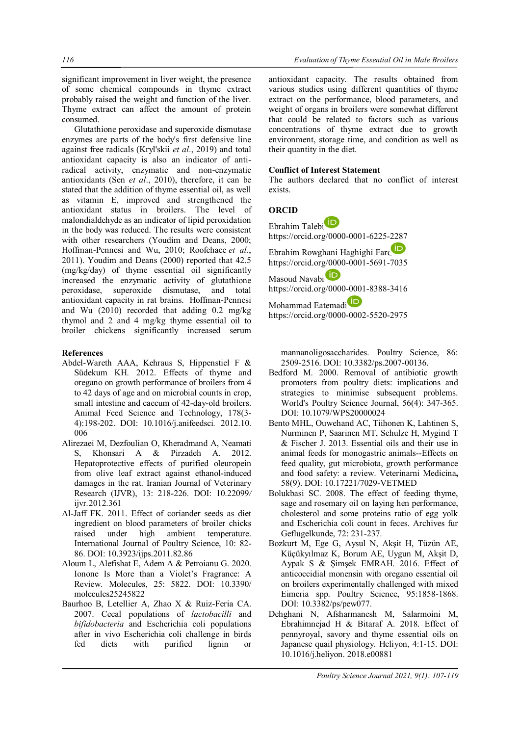significant improvement in liver weight, the presence of some chemical compounds in thyme extract probably raised the weight and function of the liver. Thyme extract can affect the amount of protein consumed.

Glutathione peroxidase and superoxide dismutase enzymes are parts of the body's first defensive line against free radicals (Kryl'skii *et al*., 2019) and total antioxidant capacity is also an indicator of antiradical activity, enzymatic and non-enzymatic antioxidants (Sen *et al*., 2010), therefore, it can be stated that the addition of thyme essential oil, as well as vitamin E, improved and strengthened the antioxidant status in broilers. The level of malondialdehyde as an indicator of lipid peroxidation in the body was reduced. The results were consistent with other researchers (Youdim and Deans, 2000; Hoffman-Pennesi and Wu, 2010; Roofchaee *et al*., 2011). Youdim and Deans (2000) reported that 42.5 (mg/kg/day) of thyme essential oil significantly increased the enzymatic activity of glutathione peroxidase, superoxide dismutase, and total antioxidant capacity in rat brains. Hoffman-Pennesi and Wu (2010) recorded that adding 0.2 mg/kg thymol and 2 and 4 mg/kg thyme essential oil to broiler chickens significantly increased serum

## **References**

- Abdel-Wareth AAA, Kehraus S, Hippenstiel F & Südekum KH. 2012. Effects of thyme and oregano on growth performance of broilers from 4 to 42 days of age and on microbial counts in crop, small intestine and caecum of 42-day-old broilers. Animal Feed Science and Technology, 178(3- 4):198-202. DOI: 10.1016/j.anifeedsci*.* 2012.10. 006
- Alirezaei M, Dezfoulian O, Kheradmand A, Neamati S, Khonsari A & Pirzadeh A. 2012. Hepatoprotective effects of purified oleuropein from olive leaf extract against ethanol-induced damages in the rat. Iranian Journal of Veterinary Research (IJVR), 13: 218-226. DOI: 10.22099*/* ijvr*.*2012.361
- Al-Jaff FK. 2011. Effect of coriander seeds as diet ingredient on blood parameters of broiler chicks raised under high ambient temperature. International Journal of Poultry Science, 10: 82- 86. DOI: 10.3923/ijps.2011.82.86
- Aloum L, Alefishat E, Adem A & Petroianu G. 2020. Ionone Is More than a Violet's Fragrance: A Review. Molecules, 25: 5822. DOI: 10.3390/ molecules25245822
- Baurhoo B, Letellier A, Zhao X & Ruiz-Feria CA. 2007. Cecal populations of *lactobacilli* and *bifidobacteria* and Escherichia coli populations after in vivo Escherichia coli challenge in birds fed diets with purified lignin or

antioxidant capacity. The results obtained from various studies using different quantities of thyme extract on the performance, blood parameters, and weight of organs in broilers were somewhat different that could be related to factors such as various concentrations of thyme extract due to growth environment, storage time, and condition as well as their quantity in the diet.

## **Conflict of Interest Statement**

The authors declared that no conflict of interest exists.

## **ORCID**

| Ebrahim Talebi <sup>D</sup>           |
|---------------------------------------|
| https://orcid.org/0000-0001-6225-2287 |
| Ebrahim Rowghani Haghighi Farc        |
| https://orcid.org/0000-0001-5691-7035 |
| Masoud Navabi                         |
| https://orcid.org/0000-0001-8388-3416 |
| $\sim$ $\sim$ $\sim$ $\sim$           |

Mohammad Eatemadi https://orcid.org/0000-0002-5520-2975

mannanoligosaccharides. Poultry Science, 86: 2509-2516. DOI: 10.3382/ps.2007-00136.

- Bedford M. 2000. Removal of antibiotic growth promoters from poultry diets: implications and strategies to minimise subsequent problems. World's Poultry Science Journal, 56(4): 347-365. DOI: 10.1079/WPS20000024
- Bento MHL, Ouwehand AC, Tiihonen K, Lahtinen S, Nurminen P, Saarinen MT, Schulze H, Mygind T & Fischer J. 2013. Essential oils and their use in animal feeds for monogastric animals--Effects on feed quality, gut microbiota, growth performance and food safety: a review. Veterinarni Medicina**,**  58(9). DOI: 10.17221/7029-VETMED
- Bolukbasi SC. 2008. The effect of feeding thyme, sage and rosemary oil on laying hen performance, cholesterol and some proteins ratio of egg yolk and Escherichia coli count in feces. Archives fur Geflugelkunde, 72: 231-237.
- Bozkurt M, Ege G, Aysul N, Akşit H, Tüzün AE, Küçükyılmaz K, Borum AE, Uygun M, Akşit D, Aypak S & Şimşek EMRAH. 2016. Effect of anticoccidial monensin with oregano essential oil on broilers experimentally challenged with mixed Eimeria spp. Poultry Science, 95:1858-1868. DOI: 10.3382/ps/pew077.
- Dehghani N, Afsharmanesh M, Salarmoini M, Ebrahimnejad H & Bitaraf A. 2018. Effect of pennyroyal, savory and thyme essential oils on Japanese quail physiology. Heliyon, 4:1-15. DOI: 10.1016/j.heliyon. 2018.e00881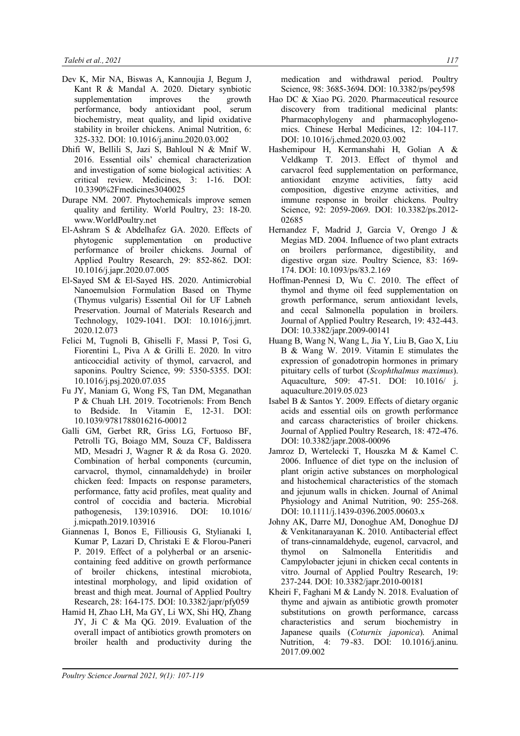- Dev K, Mir NA, Biswas A, Kannoujia J, Begum J, Kant R & Mandal A. 2020. Dietary synbiotic supplementation improves the growth performance, body antioxidant pool, serum biochemistry, meat quality, and lipid oxidative stability in broiler chickens. Animal Nutrition, 6: 325-332. DOI: 10.1016/j.aninu.2020.03.002
- Dhifi W, Bellili S, Jazi S, Bahloul N & Mnif W. 2016. Essential oils' chemical characterization and investigation of some biological activities: A critical review. Medicines, 3: 1-16. DOI: 10.3390%2Fmedicines3040025
- Durape NM. 2007. Phytochemicals improve semen quality and fertility. World Poultry, 23: 18-20. www.WorldPoultry.net
- El-Ashram S & Abdelhafez GA. 2020. Effects of phytogenic supplementation on productive performance of broiler chickens. Journal of Applied Poultry Research, 29: 852-862. DOI: 10.1016/j.japr.2020.07.005
- El-Sayed SM & El-Sayed HS. 2020. Antimicrobial Nanoemulsion Formulation Based on Thyme (Thymus vulgaris) Essential Oil for UF Labneh Preservation. Journal of Materials Research and Technology, 1029-1041. DOI: 10.1016/j.jmrt. 2020.12.073
- Felici M, Tugnoli B, Ghiselli F, Massi P, Tosi G, Fiorentini L, Piva A & Grilli E. 2020. In vitro anticoccidial activity of thymol, carvacrol, and saponins. Poultry Science, 99: 5350-5355. DOI: 10.1016/j.psj.2020.07.035
- Fu JY, Maniam G, Wong FS, Tan DM, Meganathan P & Chuah LH. 2019. Tocotrienols: From Bench to Bedside. In Vitamin E, 12-31. DOI: 10.1039/9781788016216-00012
- Galli GM, Gerbet RR, Griss LG, Fortuoso BF, Petrolli TG, Boiago MM, Souza CF, Baldissera MD, Mesadri J, Wagner R & da Rosa G. 2020. Combination of herbal components (curcumin, carvacrol, thymol, cinnamaldehyde) in broiler chicken feed: Impacts on response parameters, performance, fatty acid profiles, meat quality and control of coccidia and bacteria. Microbial pathogenesis, 139:103916. DOI: 10.1016/ j.micpath.2019.103916
- Giannenas I, Bonos E, Filliousis G, Stylianaki I, Kumar P, Lazari D, Christaki E & Florou-Paneri P. 2019. Effect of a polyherbal or an arseniccontaining feed additive on growth performance of broiler chickens, intestinal microbiota, intestinal morphology, and lipid oxidation of breast and thigh meat. Journal of Applied Poultry Research, 28: 164-175. DOI: 10.3382/japr/pfy059
- Hamid H, Zhao LH, Ma GY, Li WX, Shi HQ, Zhang JY, Ji C & Ma QG. 2019. Evaluation of the overall impact of antibiotics growth promoters on broiler health and productivity during the

medication and withdrawal period. Poultry Science, 98: 3685-3694. DOI: 10.3382/ps/pey598

- Hao DC & Xiao PG. 2020. Pharmaceutical resource discovery from traditional medicinal plants: Pharmacophylogeny and pharmacophylogenomics. Chinese Herbal Medicines, 12: 104-117. DOI: 10.1016/j.chmed.2020.03.002
- Hashemipour H, Kermanshahi H, Golian A & Veldkamp T. 2013. Effect of thymol and carvacrol feed supplementation on performance, antioxidant enzyme activities, fatty acid composition, digestive enzyme activities, and immune response in broiler chickens. Poultry Science, 92: 2059-2069. DOI: 10.3382/ps.2012- 02685
- Hernandez F, Madrid J, Garcia V, Orengo J & Megias MD. 2004. Influence of two plant extracts on broilers performance, digestibility, and digestive organ size. Poultry Science, 83: 169- 174. DOI: 10.1093/ps/83.2.169
- Hoffman-Pennesi D, Wu C. 2010. The effect of thymol and thyme oil feed supplementation on growth performance, serum antioxidant levels, and cecal Salmonella population in broilers. Journal of Applied Poultry Research, 19: 432-443. DOI: 10.3382/japr.2009-00141
- Huang B, Wang N, Wang L, Jia Y, Liu B, Gao X, Liu B & Wang W. 2019. Vitamin E stimulates the expression of gonadotropin hormones in primary pituitary cells of turbot (*Scophthalmus maximus*). Aquaculture, 509: 47-51. DOI: 10.1016/ j. aquaculture.2019.05.023
- Isabel B & Santos Y. 2009. Effects of dietary organic acids and essential oils on growth performance and carcass characteristics of broiler chickens. Journal of Applied Poultry Research, 18: 472-476. DOI: 10.3382/japr.2008-00096
- Jamroz D, Wertelecki T, Houszka M & Kamel C. 2006. Influence of diet type on the inclusion of plant origin active substances on morphological and histochemical characteristics of the stomach and jejunum walls in chicken. Journal of Animal Physiology and Animal Nutrition, 90: 255-268. DOI: 10.1111/j.1439-0396.2005.00603.x
- Johny AK, Darre MJ, Donoghue AM, Donoghue DJ & Venkitanarayanan K. 2010. Antibacterial effect of trans-cinnamaldehyde, eugenol, carvacrol, and thymol on Salmonella Enteritidis and Campylobacter jejuni in chicken cecal contents in vitro. Journal of Applied Poultry Research, 19: 237-244. DOI: 10.3382/japr.2010-00181
- Kheiri F, Faghani M & Landy N. 2018. Evaluation of thyme and ajwain as antibiotic growth promoter substitutions on growth performance, carcass characteristics and serum biochemistry in Japanese quails (*Coturnix japonica*). Animal Nutrition, 4: 79-83. DOI: 10.1016/j.aninu. 2017.09.002

*Poultry Science Journal 2021, 9(1): 107-119*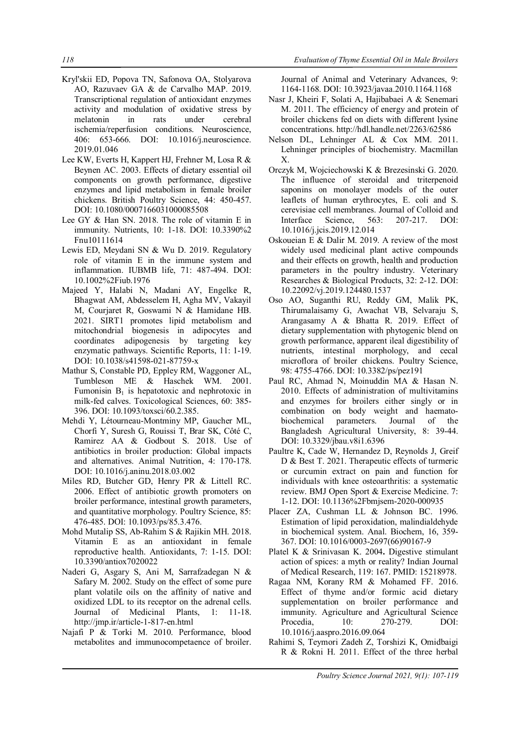- Kryl'skii ED, Popova TN, Safonova OA, Stolyarova AO, Razuvaev GA & de Carvalho MAP. 2019. Transcriptional regulation of antioxidant enzymes activity and modulation of oxidative stress by melatonin in rats under cerebral ischemia/reperfusion conditions. Neuroscience, 406: 653-666. DOI: 10.1016/j.neuroscience. 2019.01.046
- Lee KW, Everts H, Kappert HJ, Frehner M, Losa R & Beynen AC. 2003. Effects of dietary essential oil components on growth performance, digestive enzymes and lipid metabolism in female broiler chickens. British Poultry Science, 44: 450-457. DOI: 10.1080/0007166031000085508
- Lee GY & Han SN. 2018. The role of vitamin E in immunity. Nutrients, 10: 1-18. DOI: 10.3390%2 Fnu10111614
- Lewis ED, Meydani SN & Wu D. 2019. Regulatory role of vitamin E in the immune system and inflammation. IUBMB life, 71: 487-494. DOI: 10.1002%2Fiub.1976
- Majeed Y, Halabi N, Madani AY, Engelke R, Bhagwat AM, Abdesselem H, Agha MV, Vakayil M, Courjaret R, Goswami N & Hamidane HB. 2021. SIRT1 promotes lipid metabolism and mitochondrial biogenesis in adipocytes and coordinates adipogenesis by targeting key enzymatic pathways. Scientific Reports, 11: 1-19. DOI: 10.1038/s41598-021-87759-x
- Mathur S, Constable PD, Eppley RM, Waggoner AL, Tumbleson ME & Haschek WM. 2001. Fumonisin  $B_1$  is hepatotoxic and nephrotoxic in milk-fed calves. Toxicological Sciences, 60: 385- 396. DOI: 10.1093/toxsci/60.2.385.
- Mehdi Y, Létourneau-Montminy MP, Gaucher ML, Chorfi Y, Suresh G, Rouissi T, Brar SK, Côté C, Ramirez AA & Godbout S. 2018. Use of antibiotics in broiler production: Global impacts and alternatives. Animal Nutrition, 4: 170-178. DOI: 10.1016/j.aninu.2018.03.002
- Miles RD, Butcher GD, Henry PR & Littell RC. 2006. Effect of antibiotic growth promoters on broiler performance, intestinal growth parameters, and quantitative morphology. Poultry Science, 85: 476-485. DOI: 10.1093/ps/85.3.476.
- Mohd Mutalip SS, Ab-Rahim S & Rajikin MH. 2018. Vitamin E as an antioxidant in female reproductive health. Antioxidants, 7: 1-15. DOI: 10.3390/antiox7020022
- Naderi G, Asgary S, Ani M, Sarrafzadegan N & Safary M. 2002. Study on the effect of some pure plant volatile oils on the affinity of native and oxidized LDL to its receptor on the adrenal cells. Journal of Medicinal Plants, 1: 11-18. http://jmp.ir/article-1-817-en.html
- Najafi P & Torki M. 2010. Performance, blood metabolites and immunocompetaence of broiler.

Journal of Animal and Veterinary Advances, 9: 1164-1168. DOI: 10.3923/javaa.2010.1164.1168

- Nasr J, Kheiri F, Solati A, Hajibabaei A & Senemari M. 2011. The efficiency of energy and protein of broiler chickens fed on diets with different lysine concentrations. http://hdl.handle.net/2263/62586
- Nelson DL, Lehninger AL & Cox MM. 2011. Lehninger principles of biochemistry. Macmillan X.
- Orczyk M, Wojciechowski K & Brezesinski G. 2020. The influence of steroidal and triterpenoid saponins on monolayer models of the outer leaflets of human erythrocytes, E. coli and S. cerevisiae cell membranes. Journal of Colloid and Interface Science, 563: 207-217. DOI: 10.1016/j.jcis.2019.12.014
- Oskoueian E & Dalir M. 2019. A review of the most widely used medicinal plant active compounds and their effects on growth, health and production parameters in the poultry industry. Veterinary Researches & Biological Products, 32: 2-12. DOI: 10.22092/vj.2019.124480.1537
- Oso AO, Suganthi RU, Reddy GM, Malik PK, Thirumalaisamy G, Awachat VB, Selvaraju S, Arangasamy A & Bhatta R. 2019. Effect of dietary supplementation with phytogenic blend on growth performance, apparent ileal digestibility of nutrients, intestinal morphology, and cecal microflora of broiler chickens. Poultry Science, 98: 4755-4766. DOI: 10.3382/ps/pez191
- Paul RC, Ahmad N, Moinuddin MA & Hasan N. 2010. Effects of administration of multivitamins and enzymes for broilers either singly or in combination on body weight and haematobiochemical parameters. Journal of the Bangladesh Agricultural University, 8: 39-44. DOI: 10.3329/jbau.v8i1.6396
- Paultre K, Cade W, Hernandez D, Reynolds J, Greif D & Best T. 2021. Therapeutic effects of turmeric or curcumin extract on pain and function for individuals with knee osteoarthritis: a systematic review. BMJ Open Sport & Exercise Medicine. 7: 1-12. DOI: 10.1136%2Fbmjsem-2020-000935
- Placer ZA, Cushman LL & Johnson BC. 1996. Estimation of lipid peroxidation, malindialdehyde in biochemical system. Anal. Biochem, 16, 359- 367. DOI: 10.1016/0003-2697(66)90167-9
- Platel K & Srinivasan K. 2004**.** Digestive stimulant action of spices: a myth or reality? Indian Journal of Medical Research, 119: 167. PMID: 15218978.
- Ragaa NM, Korany RM & Mohamed FF. 2016. Effect of thyme and/or formic acid dietary supplementation on broiler performance and immunity. Agriculture and Agricultural Science Procedia, 10: 270-279. DOI: 10.1016/j.aaspro.2016.09.064
- Rahimi S, Teymori Zadeh Z, Torshizi K, Omidbaigi R & Rokni H. 2011. Effect of the three herbal